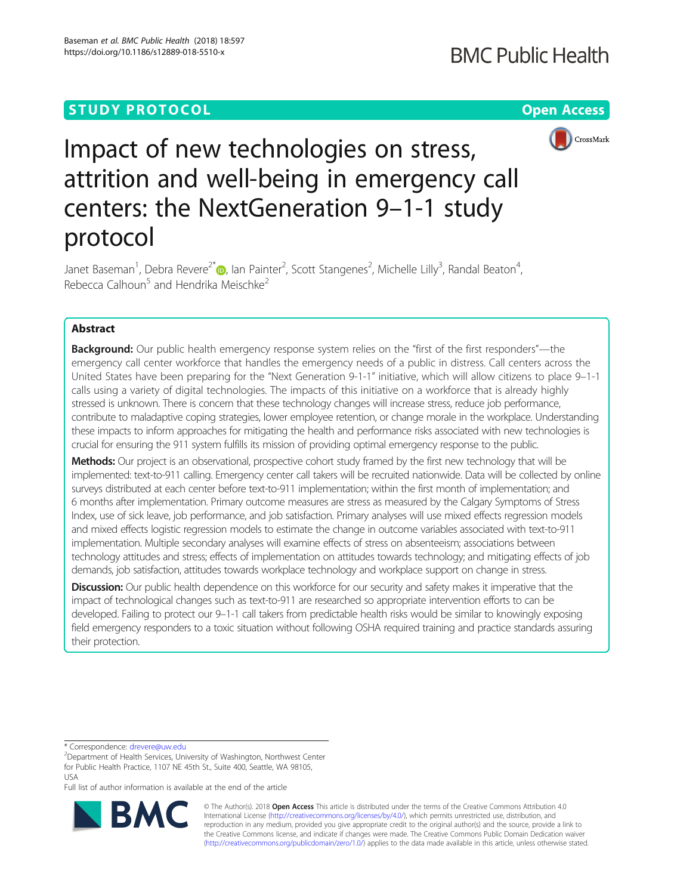# **STUDY PROTOCOL CONSUMING THE CONSUMING OPEN ACCESS**



# Impact of new technologies on stress, attrition and well-being in emergency call centers: the NextGeneration 9–1-1 study protocol

Janet Baseman<sup>1</sup>[,](http://orcid.org/0000-0002-3863-7774) Debra Revere<sup>2\*</sup>®, Ian Painter<sup>2</sup>, Scott Stangenes<sup>2</sup>, Michelle Lilly<sup>3</sup>, Randal Beaton<sup>4</sup> , Rebecca Calhoun<sup>5</sup> and Hendrika Meischke<sup>2</sup>

# Abstract

Background: Our public health emergency response system relies on the "first of the first responders"—the emergency call center workforce that handles the emergency needs of a public in distress. Call centers across the United States have been preparing for the "Next Generation 9-1-1" initiative, which will allow citizens to place 9–1-1 calls using a variety of digital technologies. The impacts of this initiative on a workforce that is already highly stressed is unknown. There is concern that these technology changes will increase stress, reduce job performance, contribute to maladaptive coping strategies, lower employee retention, or change morale in the workplace. Understanding these impacts to inform approaches for mitigating the health and performance risks associated with new technologies is crucial for ensuring the 911 system fulfills its mission of providing optimal emergency response to the public.

Methods: Our project is an observational, prospective cohort study framed by the first new technology that will be implemented: text-to-911 calling. Emergency center call takers will be recruited nationwide. Data will be collected by online surveys distributed at each center before text-to-911 implementation; within the first month of implementation; and 6 months after implementation. Primary outcome measures are stress as measured by the Calgary Symptoms of Stress Index, use of sick leave, job performance, and job satisfaction. Primary analyses will use mixed effects regression models and mixed effects logistic regression models to estimate the change in outcome variables associated with text-to-911 implementation. Multiple secondary analyses will examine effects of stress on absenteeism; associations between technology attitudes and stress; effects of implementation on attitudes towards technology; and mitigating effects of job demands, job satisfaction, attitudes towards workplace technology and workplace support on change in stress.

Discussion: Our public health dependence on this workforce for our security and safety makes it imperative that the impact of technological changes such as text-to-911 are researched so appropriate intervention efforts to can be developed. Failing to protect our 9–1-1 call takers from predictable health risks would be similar to knowingly exposing field emergency responders to a toxic situation without following OSHA required training and practice standards assuring their protection.

Full list of author information is available at the end of the article



© The Author(s). 2018 Open Access This article is distributed under the terms of the Creative Commons Attribution 4.0 International License [\(http://creativecommons.org/licenses/by/4.0/](http://creativecommons.org/licenses/by/4.0/)), which permits unrestricted use, distribution, and reproduction in any medium, provided you give appropriate credit to the original author(s) and the source, provide a link to the Creative Commons license, and indicate if changes were made. The Creative Commons Public Domain Dedication waiver [\(http://creativecommons.org/publicdomain/zero/1.0/](http://creativecommons.org/publicdomain/zero/1.0/)) applies to the data made available in this article, unless otherwise stated.

<sup>\*</sup> Correspondence: [drevere@uw.edu](mailto:drevere@uw.edu) <sup>2</sup>

 $2$ Department of Health Services, University of Washington, Northwest Center for Public Health Practice, 1107 NE 45th St., Suite 400, Seattle, WA 98105, USA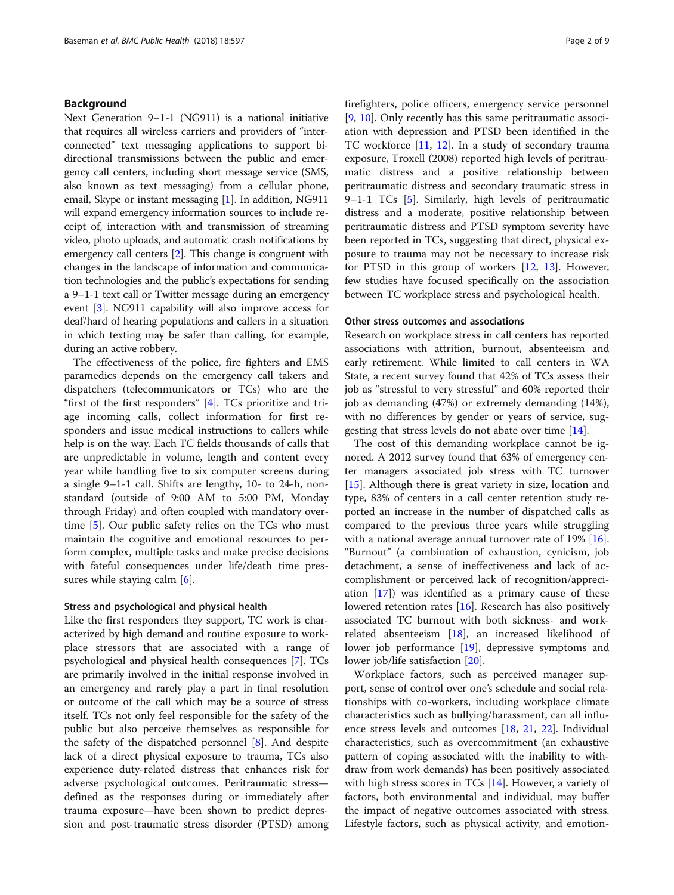# Background

Next Generation 9–1-1 (NG911) is a national initiative that requires all wireless carriers and providers of "interconnected" text messaging applications to support bidirectional transmissions between the public and emergency call centers, including short message service (SMS, also known as text messaging) from a cellular phone, email, Skype or instant messaging [\[1\]](#page-7-0). In addition, NG911 will expand emergency information sources to include receipt of, interaction with and transmission of streaming video, photo uploads, and automatic crash notifications by emergency call centers [\[2](#page-7-0)]. This change is congruent with changes in the landscape of information and communication technologies and the public's expectations for sending a 9–1-1 text call or Twitter message during an emergency event [\[3](#page-7-0)]. NG911 capability will also improve access for deaf/hard of hearing populations and callers in a situation in which texting may be safer than calling, for example, during an active robbery.

The effectiveness of the police, fire fighters and EMS paramedics depends on the emergency call takers and dispatchers (telecommunicators or TCs) who are the "first of the first responders"  $[4]$  $[4]$ . TCs prioritize and triage incoming calls, collect information for first responders and issue medical instructions to callers while help is on the way. Each TC fields thousands of calls that are unpredictable in volume, length and content every year while handling five to six computer screens during a single 9–1-1 call. Shifts are lengthy, 10- to 24-h, nonstandard (outside of 9:00 AM to 5:00 PM, Monday through Friday) and often coupled with mandatory overtime [\[5\]](#page-7-0). Our public safety relies on the TCs who must maintain the cognitive and emotional resources to perform complex, multiple tasks and make precise decisions with fateful consequences under life/death time pressures while staying calm [\[6](#page-7-0)].

#### Stress and psychological and physical health

Like the first responders they support, TC work is characterized by high demand and routine exposure to workplace stressors that are associated with a range of psychological and physical health consequences [\[7](#page-7-0)]. TCs are primarily involved in the initial response involved in an emergency and rarely play a part in final resolution or outcome of the call which may be a source of stress itself. TCs not only feel responsible for the safety of the public but also perceive themselves as responsible for the safety of the dispatched personnel [[8](#page-7-0)]. And despite lack of a direct physical exposure to trauma, TCs also experience duty-related distress that enhances risk for adverse psychological outcomes. Peritraumatic stress defined as the responses during or immediately after trauma exposure—have been shown to predict depression and post-traumatic stress disorder (PTSD) among firefighters, police officers, emergency service personnel [[9,](#page-7-0) [10\]](#page-7-0). Only recently has this same peritraumatic association with depression and PTSD been identified in the TC workforce [[11,](#page-7-0) [12\]](#page-7-0). In a study of secondary trauma exposure, Troxell (2008) reported high levels of peritraumatic distress and a positive relationship between peritraumatic distress and secondary traumatic stress in 9–1-1 TCs [[5\]](#page-7-0). Similarly, high levels of peritraumatic distress and a moderate, positive relationship between peritraumatic distress and PTSD symptom severity have been reported in TCs, suggesting that direct, physical exposure to trauma may not be necessary to increase risk for PTSD in this group of workers [\[12,](#page-7-0) [13\]](#page-7-0). However, few studies have focused specifically on the association between TC workplace stress and psychological health.

#### Other stress outcomes and associations

Research on workplace stress in call centers has reported associations with attrition, burnout, absenteeism and early retirement. While limited to call centers in WA State, a recent survey found that 42% of TCs assess their job as "stressful to very stressful" and 60% reported their job as demanding (47%) or extremely demanding (14%), with no differences by gender or years of service, suggesting that stress levels do not abate over time [[14](#page-7-0)].

The cost of this demanding workplace cannot be ignored. A 2012 survey found that 63% of emergency center managers associated job stress with TC turnover [[15\]](#page-7-0). Although there is great variety in size, location and type, 83% of centers in a call center retention study reported an increase in the number of dispatched calls as compared to the previous three years while struggling with a national average annual turnover rate of 19%  $[16]$  $[16]$ . "Burnout" (a combination of exhaustion, cynicism, job detachment, a sense of ineffectiveness and lack of accomplishment or perceived lack of recognition/appreciation [\[17](#page-7-0)]) was identified as a primary cause of these lowered retention rates [\[16](#page-7-0)]. Research has also positively associated TC burnout with both sickness- and workrelated absenteeism [\[18](#page-7-0)], an increased likelihood of lower job performance [[19\]](#page-7-0), depressive symptoms and lower job/life satisfaction [[20](#page-7-0)].

Workplace factors, such as perceived manager support, sense of control over one's schedule and social relationships with co-workers, including workplace climate characteristics such as bullying/harassment, can all influence stress levels and outcomes [\[18](#page-7-0), [21](#page-7-0), [22](#page-7-0)]. Individual characteristics, such as overcommitment (an exhaustive pattern of coping associated with the inability to withdraw from work demands) has been positively associated with high stress scores in TCs [\[14\]](#page-7-0). However, a variety of factors, both environmental and individual, may buffer the impact of negative outcomes associated with stress. Lifestyle factors, such as physical activity, and emotion-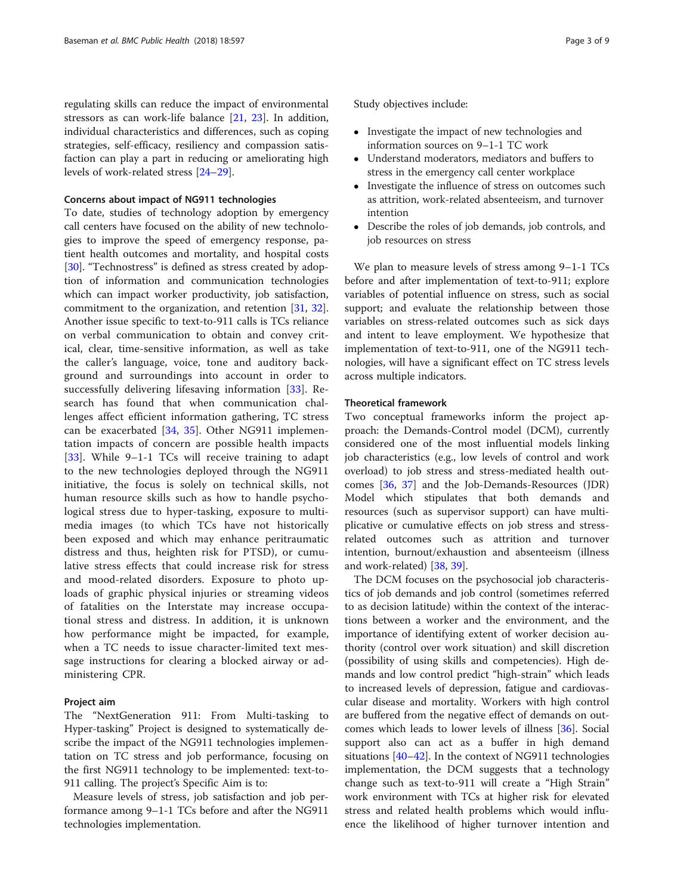regulating skills can reduce the impact of environmental stressors as can work-life balance [[21,](#page-7-0) [23](#page-7-0)]. In addition, individual characteristics and differences, such as coping strategies, self-efficacy, resiliency and compassion satisfaction can play a part in reducing or ameliorating high levels of work-related stress [\[24](#page-7-0)–[29\]](#page-7-0).

#### Concerns about impact of NG911 technologies

To date, studies of technology adoption by emergency call centers have focused on the ability of new technologies to improve the speed of emergency response, patient health outcomes and mortality, and hospital costs [[30\]](#page-7-0). "Technostress" is defined as stress created by adoption of information and communication technologies which can impact worker productivity, job satisfaction, commitment to the organization, and retention [[31,](#page-7-0) [32](#page-7-0)]. Another issue specific to text-to-911 calls is TCs reliance on verbal communication to obtain and convey critical, clear, time-sensitive information, as well as take the caller's language, voice, tone and auditory background and surroundings into account in order to successfully delivering lifesaving information [\[33](#page-7-0)]. Research has found that when communication challenges affect efficient information gathering, TC stress can be exacerbated [\[34](#page-7-0), [35\]](#page-7-0). Other NG911 implementation impacts of concern are possible health impacts [[33\]](#page-7-0). While 9–1-1 TCs will receive training to adapt to the new technologies deployed through the NG911 initiative, the focus is solely on technical skills, not human resource skills such as how to handle psychological stress due to hyper-tasking, exposure to multimedia images (to which TCs have not historically been exposed and which may enhance peritraumatic distress and thus, heighten risk for PTSD), or cumulative stress effects that could increase risk for stress and mood-related disorders. Exposure to photo uploads of graphic physical injuries or streaming videos of fatalities on the Interstate may increase occupational stress and distress. In addition, it is unknown how performance might be impacted, for example, when a TC needs to issue character-limited text message instructions for clearing a blocked airway or administering CPR.

# Project aim

The "NextGeneration 911: From Multi-tasking to Hyper-tasking" Project is designed to systematically describe the impact of the NG911 technologies implementation on TC stress and job performance, focusing on the first NG911 technology to be implemented: text-to-911 calling. The project's Specific Aim is to:

Measure levels of stress, job satisfaction and job performance among 9–1-1 TCs before and after the NG911 technologies implementation.

Study objectives include:

- Investigate the impact of new technologies and information sources on 9–1-1 TC work
- Understand moderators, mediators and buffers to stress in the emergency call center workplace
- Investigate the influence of stress on outcomes such as attrition, work-related absenteeism, and turnover intention
- Describe the roles of job demands, job controls, and job resources on stress

We plan to measure levels of stress among 9–1-1 TCs before and after implementation of text-to-911; explore variables of potential influence on stress, such as social support; and evaluate the relationship between those variables on stress-related outcomes such as sick days and intent to leave employment. We hypothesize that implementation of text-to-911, one of the NG911 technologies, will have a significant effect on TC stress levels across multiple indicators.

# Theoretical framework

Two conceptual frameworks inform the project approach: the Demands-Control model (DCM), currently considered one of the most influential models linking job characteristics (e.g., low levels of control and work overload) to job stress and stress-mediated health outcomes [[36](#page-7-0), [37](#page-7-0)] and the Job-Demands-Resources (JDR) Model which stipulates that both demands and resources (such as supervisor support) can have multiplicative or cumulative effects on job stress and stressrelated outcomes such as attrition and turnover intention, burnout/exhaustion and absenteeism (illness and work-related) [[38,](#page-7-0) [39](#page-7-0)].

The DCM focuses on the psychosocial job characteristics of job demands and job control (sometimes referred to as decision latitude) within the context of the interactions between a worker and the environment, and the importance of identifying extent of worker decision authority (control over work situation) and skill discretion (possibility of using skills and competencies). High demands and low control predict "high-strain" which leads to increased levels of depression, fatigue and cardiovascular disease and mortality. Workers with high control are buffered from the negative effect of demands on outcomes which leads to lower levels of illness [[36](#page-7-0)]. Social support also can act as a buffer in high demand situations  $[40-42]$  $[40-42]$  $[40-42]$ . In the context of NG911 technologies implementation, the DCM suggests that a technology change such as text-to-911 will create a "High Strain" work environment with TCs at higher risk for elevated stress and related health problems which would influence the likelihood of higher turnover intention and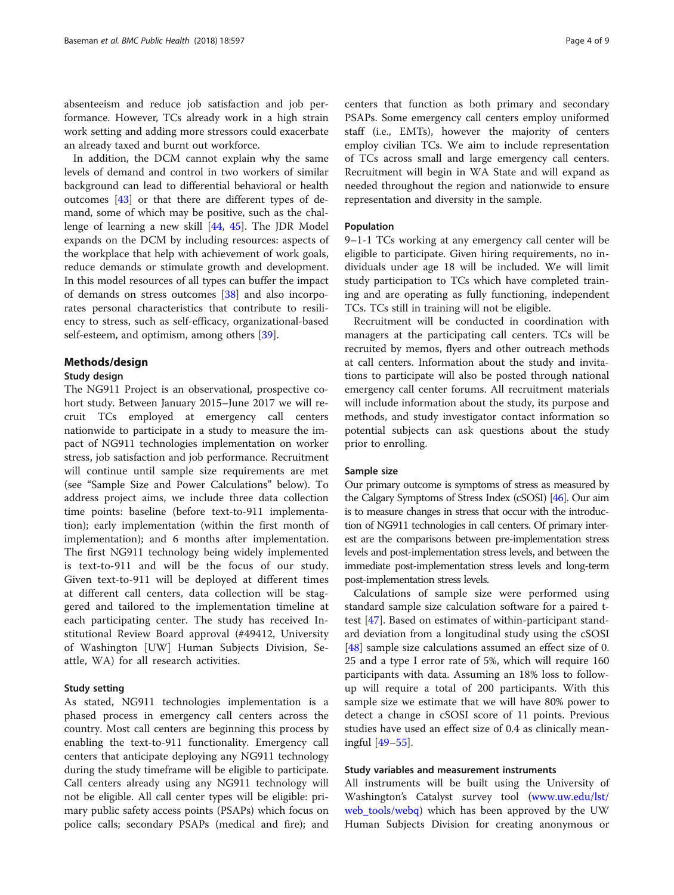absenteeism and reduce job satisfaction and job performance. However, TCs already work in a high strain work setting and adding more stressors could exacerbate an already taxed and burnt out workforce.

In addition, the DCM cannot explain why the same levels of demand and control in two workers of similar background can lead to differential behavioral or health outcomes [\[43\]](#page-8-0) or that there are different types of demand, some of which may be positive, such as the challenge of learning a new skill [[44](#page-8-0), [45\]](#page-8-0). The JDR Model expands on the DCM by including resources: aspects of the workplace that help with achievement of work goals, reduce demands or stimulate growth and development. In this model resources of all types can buffer the impact of demands on stress outcomes [[38](#page-7-0)] and also incorporates personal characteristics that contribute to resiliency to stress, such as self-efficacy, organizational-based self-esteem, and optimism, among others [\[39](#page-7-0)].

#### Methods/design

# Study design

The NG911 Project is an observational, prospective cohort study. Between January 2015–June 2017 we will recruit TCs employed at emergency call centers nationwide to participate in a study to measure the impact of NG911 technologies implementation on worker stress, job satisfaction and job performance. Recruitment will continue until sample size requirements are met (see "Sample Size and Power Calculations" below). To address project aims, we include three data collection time points: baseline (before text-to-911 implementation); early implementation (within the first month of implementation); and 6 months after implementation. The first NG911 technology being widely implemented is text-to-911 and will be the focus of our study. Given text-to-911 will be deployed at different times at different call centers, data collection will be staggered and tailored to the implementation timeline at each participating center. The study has received Institutional Review Board approval (#49412, University of Washington [UW] Human Subjects Division, Seattle, WA) for all research activities.

#### Study setting

As stated, NG911 technologies implementation is a phased process in emergency call centers across the country. Most call centers are beginning this process by enabling the text-to-911 functionality. Emergency call centers that anticipate deploying any NG911 technology during the study timeframe will be eligible to participate. Call centers already using any NG911 technology will not be eligible. All call center types will be eligible: primary public safety access points (PSAPs) which focus on police calls; secondary PSAPs (medical and fire); and

centers that function as both primary and secondary PSAPs. Some emergency call centers employ uniformed staff (i.e., EMTs), however the majority of centers employ civilian TCs. We aim to include representation of TCs across small and large emergency call centers. Recruitment will begin in WA State and will expand as needed throughout the region and nationwide to ensure representation and diversity in the sample.

# Population

9–1-1 TCs working at any emergency call center will be eligible to participate. Given hiring requirements, no individuals under age 18 will be included. We will limit study participation to TCs which have completed training and are operating as fully functioning, independent TCs. TCs still in training will not be eligible.

Recruitment will be conducted in coordination with managers at the participating call centers. TCs will be recruited by memos, flyers and other outreach methods at call centers. Information about the study and invitations to participate will also be posted through national emergency call center forums. All recruitment materials will include information about the study, its purpose and methods, and study investigator contact information so potential subjects can ask questions about the study prior to enrolling.

#### Sample size

Our primary outcome is symptoms of stress as measured by the Calgary Symptoms of Stress Index (cSOSI) [\[46\]](#page-8-0). Our aim is to measure changes in stress that occur with the introduction of NG911 technologies in call centers. Of primary interest are the comparisons between pre-implementation stress levels and post-implementation stress levels, and between the immediate post-implementation stress levels and long-term post-implementation stress levels.

Calculations of sample size were performed using standard sample size calculation software for a paired ttest [\[47](#page-8-0)]. Based on estimates of within-participant standard deviation from a longitudinal study using the cSOSI [[48\]](#page-8-0) sample size calculations assumed an effect size of 0. 25 and a type I error rate of 5%, which will require 160 participants with data. Assuming an 18% loss to followup will require a total of 200 participants. With this sample size we estimate that we will have 80% power to detect a change in cSOSI score of 11 points. Previous studies have used an effect size of 0.4 as clinically meaningful [\[49](#page-8-0)–[55\]](#page-8-0).

#### Study variables and measurement instruments

All instruments will be built using the University of Washington's Catalyst survey tool ([www.uw.edu/lst/](http://www.uw.edu/lst/web_tools/webq) [web\\_tools/webq\)](http://www.uw.edu/lst/web_tools/webq) which has been approved by the UW Human Subjects Division for creating anonymous or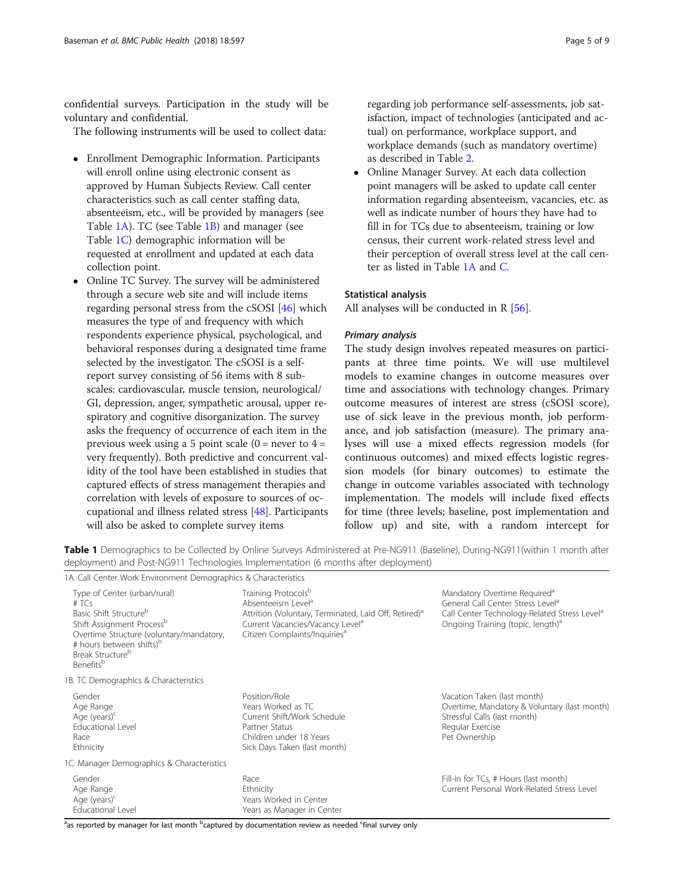confidential surveys. Participation in the study will be voluntary and confidential.

The following instruments will be used to collect data:

- Enrollment Demographic Information. Participants will enroll online using electronic consent as approved by Human Subjects Review. Call center characteristics such as call center staffing data, absenteeism, etc., will be provided by managers (see Table 1A). TC (see Table 1B) and manager (see Table 1C) demographic information will be requested at enrollment and updated at each data collection point.
- Online TC Survey. The survey will be administered through a secure web site and will include items regarding personal stress from the cSOSI [[46](#page-8-0)] which measures the type of and frequency with which respondents experience physical, psychological, and behavioral responses during a designated time frame selected by the investigator. The cSOSI is a selfreport survey consisting of 56 items with 8 subscales: cardiovascular, muscle tension, neurological/ GI, depression, anger, sympathetic arousal, upper respiratory and cognitive disorganization. The survey asks the frequency of occurrence of each item in the previous week using a 5 point scale  $(0 =$  never to  $4 =$ very frequently). Both predictive and concurrent validity of the tool have been established in studies that captured effects of stress management therapies and correlation with levels of exposure to sources of occupational and illness related stress [[48](#page-8-0)]. Participants will also be asked to complete survey items

regarding job performance self-assessments, job satisfaction, impact of technologies (anticipated and actual) on performance, workplace support, and workplace demands (such as mandatory overtime) as described in Table [2.](#page-5-0)

 Online Manager Survey. At each data collection point managers will be asked to update call center information regarding absenteeism, vacancies, etc. as well as indicate number of hours they have had to fill in for TCs due to absenteeism, training or low census, their current work-related stress level and their perception of overall stress level at the call center as listed in Table 1A and C.

#### Statistical analysis

All analyses will be conducted in  $R$  [\[56](#page-8-0)].

#### Primary analysis

The study design involves repeated measures on participants at three time points. We will use multilevel models to examine changes in outcome measures over time and associations with technology changes. Primary outcome measures of interest are stress (cSOSI score), use of sick leave in the previous month, job performance, and job satisfaction (measure). The primary analyses will use a mixed effects regression models (for continuous outcomes) and mixed effects logistic regression models (for binary outcomes) to estimate the change in outcome variables associated with technology implementation. The models will include fixed effects for time (three levels; baseline, post implementation and follow up) and site, with a random intercept for

Table 1 Demographics to be Collected by Online Surveys Administered at Pre-NG911 (Baseline), During-NG911(within 1 month after deployment) and Post-NG911 Technologies Implementation (6 months after deployment)

| 1A. Call Center Work Environment Demographics & Characteristics                                                                                                                                                                                      |                                                                                                                                                                                                                         |                                                                                                                                                                                                        |
|------------------------------------------------------------------------------------------------------------------------------------------------------------------------------------------------------------------------------------------------------|-------------------------------------------------------------------------------------------------------------------------------------------------------------------------------------------------------------------------|--------------------------------------------------------------------------------------------------------------------------------------------------------------------------------------------------------|
| Type of Center (urban/rural)<br>#TCs<br>Basic Shift Structure <sup>b</sup><br>Shift Assignment Process <sup>b</sup><br>Overtime Structure (voluntary/mandatory,<br># hours between shifts) <sup>b</sup><br>Break Structure <sup>b</sup><br>Benefitsb | Training Protocolsb<br>Absenteeism Level <sup>a</sup><br>Attrition (Voluntary, Terminated, Laid Off, Retired) <sup>a</sup><br>Current Vacancies/Vacancy Level <sup>a</sup><br>Citizen Complaints/Inquiries <sup>a</sup> | Mandatory Overtime Required <sup>a</sup><br>General Call Center Stress Level <sup>a</sup><br>Call Center Technology-Related Stress Level <sup>a</sup><br>Ongoing Training (topic, length) <sup>d</sup> |
| 1B. TC Demographics & Characteristics                                                                                                                                                                                                                |                                                                                                                                                                                                                         |                                                                                                                                                                                                        |
| Gender<br>Age Range<br>Age (years) $c$<br>Educational Level<br>Race<br>Ethnicity                                                                                                                                                                     | Position/Role<br>Years Worked as TC<br>Current Shift/Work Schedule<br>Partner Status<br>Children under 18 Years<br>Sick Days Taken (last month)                                                                         | Vacation Taken (last month)<br>Overtime, Mandatory & Voluntary (last month)<br>Stressful Calls (last month)<br>Regular Exercise<br>Pet Ownership                                                       |
| 1C. Manager Demographics & Characteristics                                                                                                                                                                                                           |                                                                                                                                                                                                                         |                                                                                                                                                                                                        |
| Gender<br>Age Range<br>Age (years) $c$<br><b>Educational Level</b>                                                                                                                                                                                   | Race<br>Ethnicity<br>Years Worked in Center<br>Years as Manager in Center                                                                                                                                               | Fill-in for TCs, # Hours (last month)<br>Current Personal Work-Related Stress Level                                                                                                                    |

<sup>a</sup>as reported by manager for last month <sup>b</sup>captured by documentation review as needed <sup>c</sup>final survey only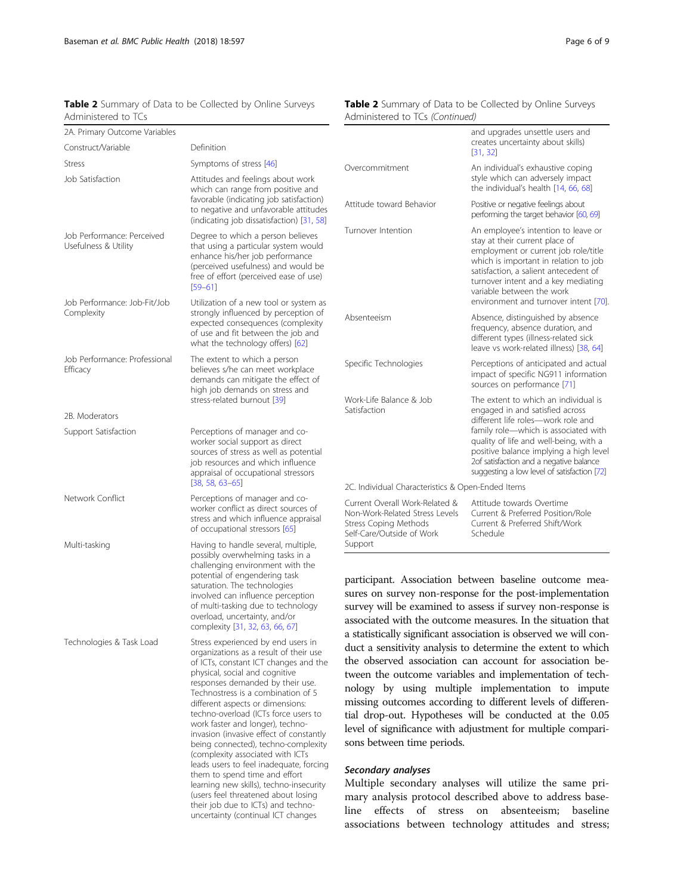| 2A. Primary Outcome Variables                      |                                                                                                                                                                                                                                                                                                                                                                                                                                                                                                                    |                                                                                                                                                                                                   |  |
|----------------------------------------------------|--------------------------------------------------------------------------------------------------------------------------------------------------------------------------------------------------------------------------------------------------------------------------------------------------------------------------------------------------------------------------------------------------------------------------------------------------------------------------------------------------------------------|---------------------------------------------------------------------------------------------------------------------------------------------------------------------------------------------------|--|
| Construct/Variable                                 | Definition                                                                                                                                                                                                                                                                                                                                                                                                                                                                                                         |                                                                                                                                                                                                   |  |
| <b>Stress</b>                                      | Symptoms of stress [46]                                                                                                                                                                                                                                                                                                                                                                                                                                                                                            | Overcommitment                                                                                                                                                                                    |  |
| Job Satisfaction                                   | Attitudes and feelings about work<br>which can range from positive and<br>favorable (indicating job satisfaction)<br>to negative and unfavorable attitudes<br>(indicating job dissatisfaction) [31, 58]                                                                                                                                                                                                                                                                                                            | Attitude toward Behav                                                                                                                                                                             |  |
| Job Performance: Perceived<br>Usefulness & Utility | Degree to which a person believes<br>that using a particular system would<br>enhance his/her job performance<br>(perceived usefulness) and would be<br>free of effort (perceived ease of use)<br>$[59 - 61]$                                                                                                                                                                                                                                                                                                       | Turnover Intention                                                                                                                                                                                |  |
| Job Performance: Job-Fit/Job<br>Complexity         | Utilization of a new tool or system as<br>strongly influenced by perception of<br>expected consequences (complexity<br>of use and fit between the job and<br>what the technology offers) [62]                                                                                                                                                                                                                                                                                                                      | Absenteeism                                                                                                                                                                                       |  |
| Job Performance: Professional<br>Efficacy          | The extent to which a person<br>believes s/he can meet workplace<br>demands can mitigate the effect of<br>high job demands on stress and<br>stress-related burnout [39]                                                                                                                                                                                                                                                                                                                                            | Specific Technologies<br>Work-Life Balance & Jo                                                                                                                                                   |  |
| 2B. Moderators                                     |                                                                                                                                                                                                                                                                                                                                                                                                                                                                                                                    | Satisfaction                                                                                                                                                                                      |  |
| Support Satisfaction                               | Perceptions of manager and co-<br>worker social support as direct<br>sources of stress as well as potential<br>job resources and which influence<br>appraisal of occupational stressors<br>$[38, 58, 63 - 65]$                                                                                                                                                                                                                                                                                                     | 2C. Individual Characte                                                                                                                                                                           |  |
| Network Conflict                                   | Perceptions of manager and co-<br>worker conflict as direct sources of<br>stress and which influence appraisal<br>of occupational stressors [65]                                                                                                                                                                                                                                                                                                                                                                   | Current Overall Work-R<br>Non-Work-Related Stre<br>Stress Coping Methods<br>Self-Care/Outside of W                                                                                                |  |
| Multi-tasking                                      | Having to handle several, multiple,<br>possibly overwhelming tasks in a<br>challenging environment with the<br>potential of engendering task<br>saturation. The technologies<br>involved can influence perception<br>of multi-tasking due to technology<br>overload, uncertainty, and/or<br>complexity [31, 32, 63, 66, 67]                                                                                                                                                                                        | Support<br>participant. Assoc<br>sures on survey no<br>survey will be exar<br>associated with the                                                                                                 |  |
| Technologies & Task Load                           | Stress experienced by end users in<br>organizations as a result of their use<br>of ICTs, constant ICT changes and the<br>physical, social and cognitive<br>responses demanded by their use.<br>Technostress is a combination of 5<br>different aspects or dimensions:<br>techno-overload (ICTs force users to<br>work faster and longer), techno-<br>invasion (invasive effect of constantly<br>being connected), techno-complexity<br>(complexity associated with ICTs<br>leads users to feel inadequate, forcing | a statistically signif<br>duct a sensitivity a<br>the observed asso<br>tween the outcom<br>nology by using<br>missing outcomes<br>tial drop-out. Hyp<br>level of significanc<br>sons between time |  |

them to spend time and effort learning new skills), techno-insecurity (users feel threatened about losing their job due to ICTs) and technouncertainty (continual ICT changes

# <span id="page-5-0"></span>Table 2 Summary of Data to be Collected by Online Surveys Administered to TCs

| <b>Table 2</b> Summary of Data to be Collected by Online Surveys |  |
|------------------------------------------------------------------|--|
| Administered to TCs (Continued)                                  |  |

|                                                                                                                               | and upgrades unsettle users and<br>creates uncertainty about skills)<br>[31, 32]                                                                                                                                                                                                                                                    |  |
|-------------------------------------------------------------------------------------------------------------------------------|-------------------------------------------------------------------------------------------------------------------------------------------------------------------------------------------------------------------------------------------------------------------------------------------------------------------------------------|--|
| Overcommitment                                                                                                                | An individual's exhaustive coping<br>style which can adversely impact<br>the individual's health [14, 66, 68]                                                                                                                                                                                                                       |  |
| Attitude toward Behavior                                                                                                      | Positive or negative feelings about<br>performing the target behavior [60, 69]                                                                                                                                                                                                                                                      |  |
| Turnover Intention                                                                                                            | An employee's intention to leave or<br>stay at their current place of<br>employment or current job role/title<br>which is important in relation to job<br>satisfaction, a salient antecedent of<br>turnover intent and a key mediating<br>variable between the work<br>environment and turnover intent [70].                        |  |
| Absenteeism                                                                                                                   | Absence, distinguished by absence<br>frequency, absence duration, and<br>different types (illness-related sick<br>leave vs work-related illness) [38, 64]                                                                                                                                                                           |  |
| Specific Technologies                                                                                                         | Perceptions of anticipated and actual<br>impact of specific NG911 information<br>sources on performance [71]                                                                                                                                                                                                                        |  |
| Work-Life Balance & Job<br>Satisfaction                                                                                       | The extent to which an individual is<br>engaged in and satisfied across<br>different life roles-work role and<br>family role-which is associated with<br>quality of life and well-being, with a<br>positive balance implying a high level<br>2of satisfaction and a negative balance<br>suggesting a low level of satisfaction [72] |  |
| 2C. Individual Characteristics & Open-Ended Items                                                                             |                                                                                                                                                                                                                                                                                                                                     |  |
| Current Overall Work-Related &<br>Non-Work-Related Stress Levels<br><b>Stress Coping Methods</b><br>Self-Care/Outside of Work | Attitude towards Overtime<br>Current & Preferred Position/Role<br>Current & Preferred Shift/Work<br>Schedule                                                                                                                                                                                                                        |  |

iation between baseline outcome meaon-response for the post-implementation mined to assess if survey non-response is e outcome measures. In the situation that ficant association is observed we will conanalysis to determine the extent to which ciation can account for association behe variables and implementation of techmultiple implementation to impute according to different levels of differenpotheses will be conducted at the 0.05 level with adjustment for multiple compariperiods.

# Secondary analyses

Multiple secondary analyses will utilize the same primary analysis protocol described above to address baseline effects of stress on absenteeism; baseline associations between technology attitudes and stress;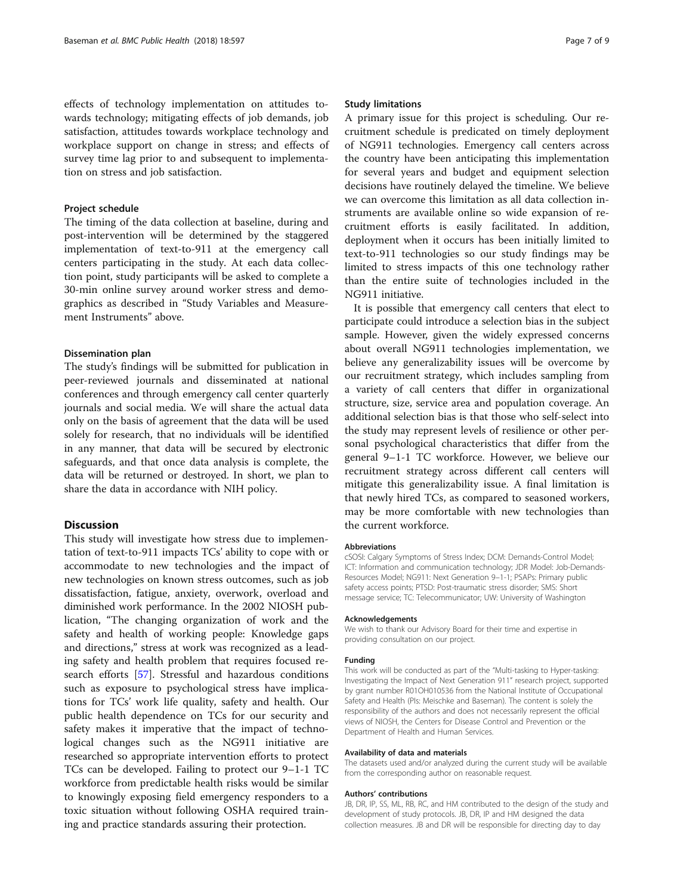effects of technology implementation on attitudes towards technology; mitigating effects of job demands, job satisfaction, attitudes towards workplace technology and workplace support on change in stress; and effects of survey time lag prior to and subsequent to implementation on stress and job satisfaction.

#### Project schedule

The timing of the data collection at baseline, during and post-intervention will be determined by the staggered implementation of text-to-911 at the emergency call centers participating in the study. At each data collection point, study participants will be asked to complete a 30-min online survey around worker stress and demographics as described in "Study Variables and Measurement Instruments" above.

#### Dissemination plan

The study's findings will be submitted for publication in peer-reviewed journals and disseminated at national conferences and through emergency call center quarterly journals and social media. We will share the actual data only on the basis of agreement that the data will be used solely for research, that no individuals will be identified in any manner, that data will be secured by electronic safeguards, and that once data analysis is complete, the data will be returned or destroyed. In short, we plan to share the data in accordance with NIH policy.

# **Discussion**

This study will investigate how stress due to implementation of text-to-911 impacts TCs' ability to cope with or accommodate to new technologies and the impact of new technologies on known stress outcomes, such as job dissatisfaction, fatigue, anxiety, overwork, overload and diminished work performance. In the 2002 NIOSH publication, "The changing organization of work and the safety and health of working people: Knowledge gaps and directions," stress at work was recognized as a leading safety and health problem that requires focused research efforts [[57\]](#page-8-0). Stressful and hazardous conditions such as exposure to psychological stress have implications for TCs' work life quality, safety and health. Our public health dependence on TCs for our security and safety makes it imperative that the impact of technological changes such as the NG911 initiative are researched so appropriate intervention efforts to protect TCs can be developed. Failing to protect our 9–1-1 TC workforce from predictable health risks would be similar to knowingly exposing field emergency responders to a toxic situation without following OSHA required training and practice standards assuring their protection.

#### Study limitations

A primary issue for this project is scheduling. Our recruitment schedule is predicated on timely deployment of NG911 technologies. Emergency call centers across the country have been anticipating this implementation for several years and budget and equipment selection decisions have routinely delayed the timeline. We believe we can overcome this limitation as all data collection instruments are available online so wide expansion of recruitment efforts is easily facilitated. In addition, deployment when it occurs has been initially limited to text-to-911 technologies so our study findings may be limited to stress impacts of this one technology rather than the entire suite of technologies included in the NG911 initiative.

It is possible that emergency call centers that elect to participate could introduce a selection bias in the subject sample. However, given the widely expressed concerns about overall NG911 technologies implementation, we believe any generalizability issues will be overcome by our recruitment strategy, which includes sampling from a variety of call centers that differ in organizational structure, size, service area and population coverage. An additional selection bias is that those who self-select into the study may represent levels of resilience or other personal psychological characteristics that differ from the general 9–1-1 TC workforce. However, we believe our recruitment strategy across different call centers will mitigate this generalizability issue. A final limitation is that newly hired TCs, as compared to seasoned workers, may be more comfortable with new technologies than the current workforce.

#### **Abbreviations**

cSOSI: Calgary Symptoms of Stress Index; DCM: Demands-Control Model; ICT: Information and communication technology; JDR Model: Job-Demands-Resources Model; NG911: Next Generation 9–1-1; PSAPs: Primary public safety access points; PTSD: Post-traumatic stress disorder; SMS: Short message service; TC: Telecommunicator; UW: University of Washington

#### Acknowledgements

We wish to thank our Advisory Board for their time and expertise in providing consultation on our project.

#### Funding

This work will be conducted as part of the "Multi-tasking to Hyper-tasking: Investigating the Impact of Next Generation 911" research project, supported by grant number R01OH010536 from the National Institute of Occupational Safety and Health (PIs: Meischke and Baseman). The content is solely the responsibility of the authors and does not necessarily represent the official views of NIOSH, the Centers for Disease Control and Prevention or the Department of Health and Human Services.

#### Availability of data and materials

The datasets used and/or analyzed during the current study will be available from the corresponding author on reasonable request.

#### Authors' contributions

JB, DR, IP, SS, ML, RB, RC, and HM contributed to the design of the study and development of study protocols. JB, DR, IP and HM designed the data collection measures. JB and DR will be responsible for directing day to day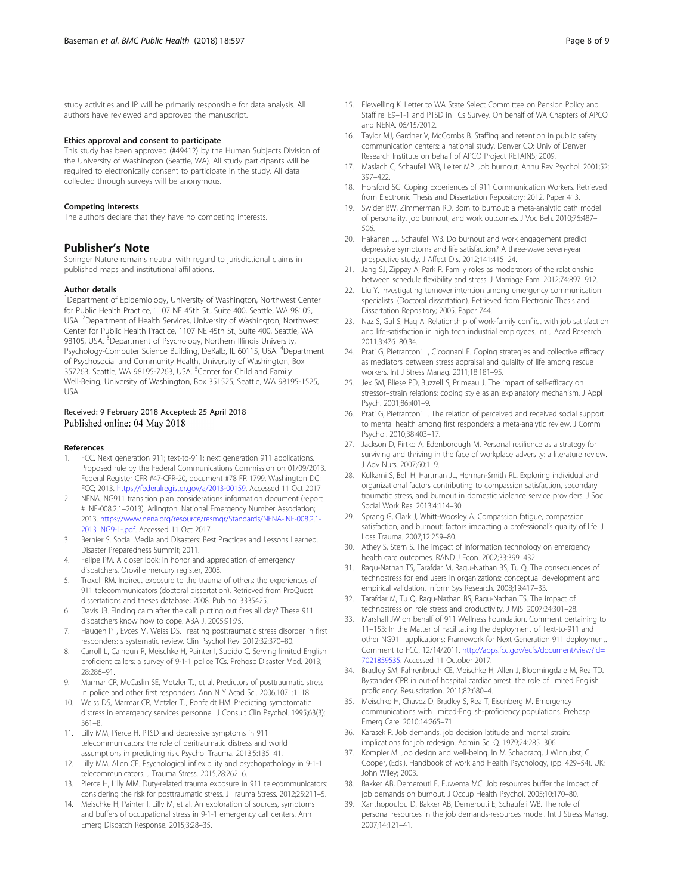<span id="page-7-0"></span>study activities and IP will be primarily responsible for data analysis. All authors have reviewed and approved the manuscript.

#### Ethics approval and consent to participate

This study has been approved (#49412) by the Human Subjects Division of the University of Washington (Seattle, WA). All study participants will be required to electronically consent to participate in the study. All data collected through surveys will be anonymous.

#### Competing interests

The authors declare that they have no competing interests.

# Publisher's Note

Springer Nature remains neutral with regard to jurisdictional claims in published maps and institutional affiliations.

#### Author details

<sup>1</sup>Department of Epidemiology, University of Washington, Northwest Center for Public Health Practice, 1107 NE 45th St., Suite 400, Seattle, WA 98105, USA. <sup>2</sup> Department of Health Services, University of Washington, Northwest Center for Public Health Practice, 1107 NE 45th St., Suite 400, Seattle, WA 98105, USA. <sup>3</sup>Department of Psychology, Northern Illinois University, Psychology-Computer Science Building, DeKalb, IL 60115, USA. <sup>4</sup>Department of Psychosocial and Community Health, University of Washington, Box 357263, Seattle, WA 98195-7263, USA. <sup>5</sup>Center for Child and Family Well-Being, University of Washington, Box 351525, Seattle, WA 98195-1525, USA.

# Received: 9 February 2018 Accepted: 25 April 2018 Published online: 04 May 2018

#### References

- 1. FCC. Next generation 911; text-to-911; next generation 911 applications. Proposed rule by the Federal Communications Commission on 01/09/2013. Federal Register CFR #47-CFR-20, document #78 FR 1799. Washington DC: FCC; 2013. <https://federalregister.gov/a/2013-00159>. Accessed 11 Oct 2017
- 2. NENA. NG911 transition plan considerations information document (report # INF-008.2.1–2013). Arlington: National Emergency Number Association; 2013. [https://www.nena.org/resource/resmgr/Standards/NENA-INF-008.2.1-](https://www.nena.org/resource/resmgr/Standards/NENA-INF-008.2.1-2013_NG9-1-.pdf) [2013\\_NG9-1-.pdf.](https://www.nena.org/resource/resmgr/Standards/NENA-INF-008.2.1-2013_NG9-1-.pdf) Accessed 11 Oct 2017
- 3. Bernier S. Social Media and Disasters: Best Practices and Lessons Learned. Disaster Preparedness Summit; 2011.
- 4. Felipe PM. A closer look: in honor and appreciation of emergency dispatchers. Oroville mercury register, 2008.
- 5. Troxell RM. Indirect exposure to the trauma of others: the experiences of 911 telecommunicators (doctoral dissertation). Retrieved from ProQuest dissertations and theses database; 2008. Pub no: 3335425.
- 6. Davis JB. Finding calm after the call: putting out fires all day? These 911 dispatchers know how to cope. ABA J. 2005;91:75.
- 7. Haugen PT, Evces M, Weiss DS. Treating posttraumatic stress disorder in first responders: s systematic review. Clin Psychol Rev. 2012;32:370–80.
- 8. Carroll L, Calhoun R, Meischke H, Painter I, Subido C. Serving limited English proficient callers: a survey of 9-1-1 police TCs. Prehosp Disaster Med. 2013; 28:286–91.
- 9. Marmar CR, McCaslin SE, Metzler TJ, et al. Predictors of posttraumatic stress in police and other first responders. Ann N Y Acad Sci. 2006;1071:1–18.
- 10. Weiss DS, Marmar CR, Metzler TJ, Ronfeldt HM. Predicting symptomatic distress in emergency services personnel. J Consult Clin Psychol. 1995;63(3): 361–8.
- 11. Lilly MM, Pierce H. PTSD and depressive symptoms in 911 telecommunicators: the role of peritraumatic distress and world assumptions in predicting risk. Psychol Trauma. 2013;5:135–41.
- 12. Lilly MM, Allen CE. Psychological inflexibility and psychopathology in 9-1-1 telecommunicators. J Trauma Stress. 2015;28:262–6.
- 13. Pierce H, Lilly MM. Duty-related trauma exposure in 911 telecommunicators: considering the risk for posttraumatic stress. J Trauma Stress. 2012;25:211–5.
- 14. Meischke H, Painter I, Lilly M, et al. An exploration of sources, symptoms and buffers of occupational stress in 9-1-1 emergency call centers. Ann Emerg Dispatch Response. 2015;3:28–35.
- 15. Flewelling K. Letter to WA State Select Committee on Pension Policy and Staff re: E9–1-1 and PTSD in TCs Survey. On behalf of WA Chapters of APCO and NENA. 06/15/2012.
- 16. Taylor MJ, Gardner V, McCombs B. Staffing and retention in public safety communication centers: a national study. Denver CO: Univ of Denver Research Institute on behalf of APCO Project RETAINS; 2009.
- 17. Maslach C, Schaufeli WB, Leiter MP. Job burnout. Annu Rev Psychol. 2001;52: 397–422.
- 18. Horsford SG. Coping Experiences of 911 Communication Workers. Retrieved from Electronic Thesis and Dissertation Repository; 2012. Paper 413.
- 19. Swider BW, Zimmerman RD. Born to burnout: a meta-analytic path model of personality, job burnout, and work outcomes. J Voc Beh. 2010;76:487– 506.
- 20. Hakanen JJ, Schaufeli WB. Do burnout and work engagement predict depressive symptoms and life satisfaction? A three-wave seven-year prospective study. J Affect Dis. 2012;141:415–24.
- 21. Jang SJ, Zippay A, Park R. Family roles as moderators of the relationship between schedule flexibility and stress. J Marriage Fam. 2012;74:897–912.
- 22. Liu Y. Investigating turnover intention among emergency communication specialists. (Doctoral dissertation). Retrieved from Electronic Thesis and Dissertation Repository; 2005. Paper 744.
- 23. Naz S, Gul S, Haq A. Relationship of work-family conflict with job satisfaction and life-satisfaction in high tech industrial employees. Int J Acad Research. 2011;3:476–80.34.
- 24. Prati G, Pietrantoni L, Cicognani E. Coping strategies and collective efficacy as mediators between stress appraisal and quiality of life among rescue workers. Int J Stress Manag. 2011;18:181–95.
- 25. Jex SM, Bliese PD, Buzzell S, Primeau J. The impact of self-efficacy on stressor–strain relations: coping style as an explanatory mechanism. J Appl Psych. 2001;86:401–9.
- 26. Prati G, Pietrantoni L. The relation of perceived and received social support to mental health among first responders: a meta-analytic review. J Comm Psychol. 2010;38:403–17.
- 27. Jackson D, Firtko A, Edenborough M. Personal resilience as a strategy for surviving and thriving in the face of workplace adversity: a literature review. J Adv Nurs. 2007;60:1–9.
- 28. Kulkarni S, Bell H, Hartman JL, Herman-Smith RL. Exploring individual and organizational factors contributing to compassion satisfaction, secondary traumatic stress, and burnout in domestic violence service providers. J Soc Social Work Res. 2013;4:114–30.
- 29. Sprang G, Clark J, Whitt-Woosley A. Compassion fatigue, compassion satisfaction, and burnout: factors impacting a professional's quality of life. J Loss Trauma. 2007;12:259–80.
- 30. Athey S, Stern S. The impact of information technology on emergency health care outcomes. RAND J Econ. 2002;33:399–432.
- 31. Ragu-Nathan TS, Tarafdar M, Ragu-Nathan BS, Tu Q. The consequences of technostress for end users in organizations: conceptual development and empirical validation. Inform Sys Research. 2008;19:417–33.
- 32. Tarafdar M, Tu Q, Ragu-Nathan BS, Ragu-Nathan TS. The impact of technostress on role stress and productivity. J MIS. 2007;24:301–28.
- 33. Marshall JW on behalf of 911 Wellness Foundation. Comment pertaining to 11–153: In the Matter of Facilitating the deployment of Text-to-911 and other NG911 applications: Framework for Next Generation 911 deployment. Comment to FCC, 12/14/2011. [http://apps.fcc.gov/ecfs/document/view?id=](http://apps.fcc.gov/ecfs/document/view?id=7021859535) [7021859535.](http://apps.fcc.gov/ecfs/document/view?id=7021859535) Accessed 11 October 2017.
- 34. Bradley SM, Fahrenbruch CE, Meischke H, Allen J, Bloomingdale M, Rea TD. Bystander CPR in out-of hospital cardiac arrest: the role of limited English proficiency. Resuscitation. 2011;82:680–4.
- 35. Meischke H, Chavez D, Bradley S, Rea T, Eisenberg M. Emergency communications with limited-English-proficiency populations. Prehosp Emerg Care. 2010;14:265–71.
- 36. Karasek R. Job demands, job decision latitude and mental strain: implications for job redesign. Admin Sci Q. 1979;24:285–306.
- 37. Kompier M. Job design and well-being. In M Schabracq, J Winnubst, CL Cooper, (Eds.). Handbook of work and Health Psychology, (pp. 429–54). UK: John Wiley; 2003.
- 38. Bakker AB, Demerouti E, Euwema MC. Job resources buffer the impact of job demands on burnout. J Occup Health Psychol. 2005;10:170–80.
- 39. Xanthopoulou D, Bakker AB, Demerouti E, Schaufeli WB. The role of personal resources in the job demands-resources model. Int J Stress Manag. 2007;14:121–41.